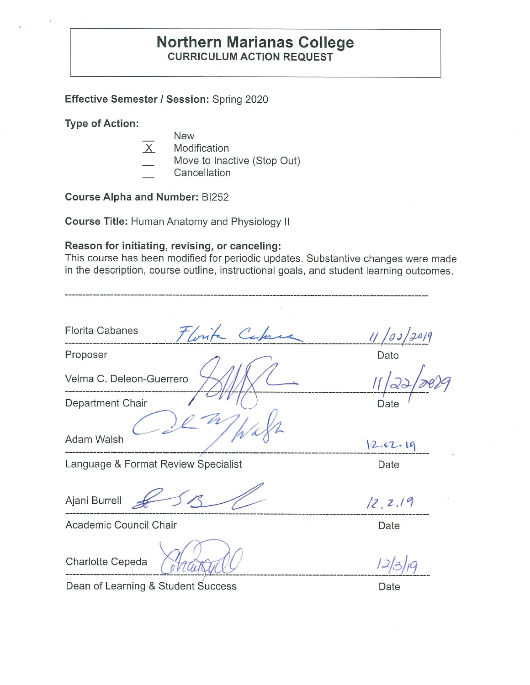# **Northern Marianas College CURRICULUM ACTION REQUEST**

### **Effective Semester / Session:** Spring 2020

#### **Type of Action:**

- New
- $X$  Modification
- Move to Inactive (Stop Out)
- **Cancellation**

# **Course Alpha and Number:** B1252

**Course Title:** Human Anatomy and Physiology II

### **Reason for initiating, revising, or canceling:**

This course has been modified for periodic updates. Substantive changes were made in the description, course outline, instructional goals, and student learning outcomes.

| <b>Florita Cabanes</b><br>Florita Capac | 11/23/2019 |
|-----------------------------------------|------------|
| Proposer                                | Date       |
| Velma C. Deleon-Guerrero                |            |
| Department Chair                        | Date       |
| Adam Walsh                              | 12.02.19   |
| Language & Format Review Specialist     | Date       |
| Ajani Burrell                           | 12, 2.19   |
| Academic Council Chair                  | Date       |
|                                         |            |

Charlotte Cepeda

Dean of Learning & Student Success

Date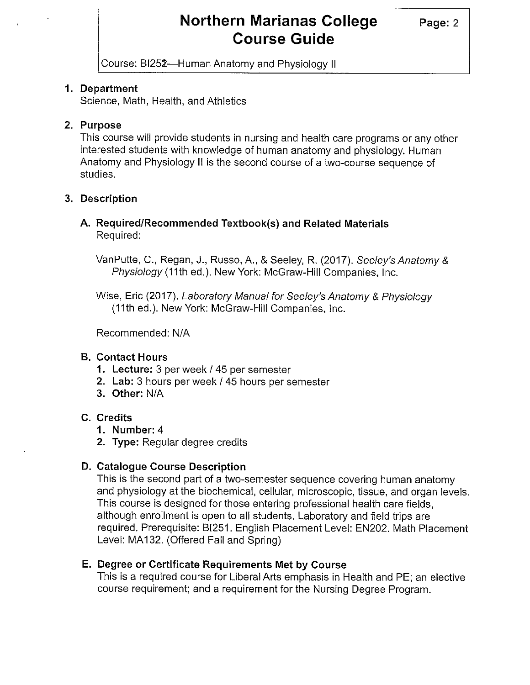# **Northern Marianas College** Page: 2 **Course Guide**

Course: BI252-Human Anatomy and Physiology II

### **1. Department**

Science, Math, Health, and Athletics

### **2. Purpose**

This course will provide students in nursing and health care programs or any other interested students with knowledge of human anatomy and physiology. Human Anatomy and Physiology II is the second course of a two-course sequence of studies.

### **3. Description**

### **A. Required/Recommended Textbook(s) and Related Materials**  Required:

VanPutte, C., Regan, J., Russo, A., & Seeley, R. (2017). Seeley's Anatomy & Physiology (11th ed.). New York: McGraw-Hill Companies, Inc.

Wise, Eric (2017). Laboratory Manual for Seeley's Anatomy & Physiology (11th ed.). New York: McGraw-Hill Companies, Inc.

Recommended: NIA

### **B. Contact Hours**

- **1. Lecture:** 3 per week/ 45 per semester
- **2. Lab:** 3 hours per week/ 45 hours per semester
- **3. Other:** N/A

### **C. Credits**

- **1. Number:** 4
- **2. Type:** Regular degree credits

#### **D. Catalogue Course Description**

This is the second part of a two-semester sequence covering human anatomy and physiology at the biochemical, cellular, microscopic, tissue, and organ levels. This course is designed for those entering professional health care fields, although enrollment is open to all students. Laboratory and field trips are required. Prerequisite: BI251. English Placement Level: EN202. Math Placement Level: MA132. (Offered Fall and Spring)

### **E. Degree or Certificate Requirements Met by Course**

This is a required course for Liberal Arts emphasis in Health and PE; an elective course requirement; and a requirement for the Nursing Degree Program.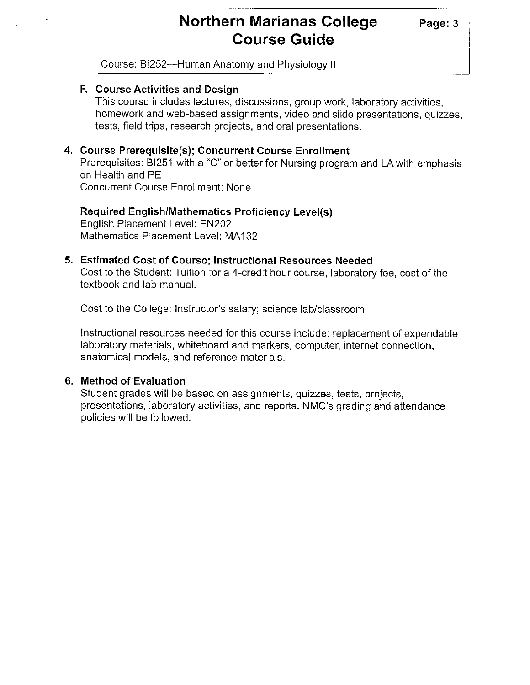# **Northern Marianas College** Page: 3 **Course Guide**

Course: BI252-Human Anatomy and Physiology II

### **F. Course Activities and Design**

This course includes lectures, discussions, group work, laboratory activities, homework and web-based assignments, video and slide presentations, quizzes, tests, field trips, research projects, and oral presentations.

### **4. Course Prerequisite(s); Concurrent Course Enrollment**

Prerequisites: BI251 with a "C" or better for Nursing program and LA with emphasis on Health and PE Concurrent Course Enrollment: None

**Required English/Mathematics Proficiency Level(s)**  English Placement Level: EN202 Mathematics Placement Level: MA 132

#### **5. Estimated Cost of Course; Instructional Resources Needed**

Cost to the Student: Tuition for a 4-credit hour course, laboratory fee, cost of the textbook and lab manual.

Cost to the College: Instructor's salary; science lab/classroom

Instructional resources needed for this course include: replacement of expendable laboratory materials, whiteboard and markers, computer, internet connection, anatomical models, and reference materials.

### **6. Method of Evaluation**

Student grades will be based on assignments, quizzes, tests, projects, presentations, laboratory activities, and reports. NMC's grading and attendance policies will be followed.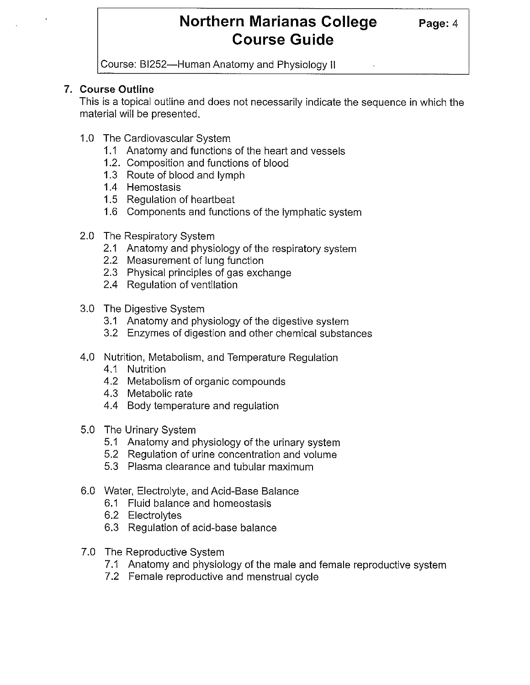# **Northern Marianas College** Page: 4 **Course Guide**

Course: Bl252-Human Anatomy and Physiology II

## **7. Course Outline**

This is a topical outline and does not necessarily indicate the sequence in which the material will be presented.

- 1.0 The Cardiovascular System
	- 1.1 Anatomy and functions of the heart and vessels
	- 1.2. Composition and functions of blood
	- 1.3 Route of blood and lymph
	- 1.4 Hemostasis
	- 1.5 Regulation of heartbeat
	- 1.6 Components and functions of the lymphatic system
- 2.0 The Respiratory System
	- 2.1 Anatomy and physiology of the respiratory system
	- 2.2 Measurement of lung function
	- 2.3 Physical principles of gas exchange
	- 2.4 Regulation of ventilation
- 3.0 The Digestive System
	- 3.1 Anatomy and physiology of the digestive system
	- 3.2 Enzymes of digestion and other chemical substances
- 4.0 Nutrition, Metabolism, and Temperature Regulation
	- 4.1 Nutrition
	- 4.2 Metabolism of organic compounds
	- 4.3 Metabolic rate
	- 4.4 Body temperature and regulation
- 5.0 The Urinary System
	- 5.1 Anatomy and physiology of the urinary system
	- 5.2 Regulation of urine concentration and volume
	- 5.3 Plasma clearance and tubular maximum
- 6.0 Water, Electrolyte, and Acid-Base Balance
	- 6.1 Fluid balance and homeostasis
	- 6.2 Electrolytes
	- 6.3 Regulation of acid-base balance
- 7.0 The Reproductive System
	- 7.1 Anatomy and physiology of the male and female reproductive system
	- 7.2 Female reproductive and menstrual cycle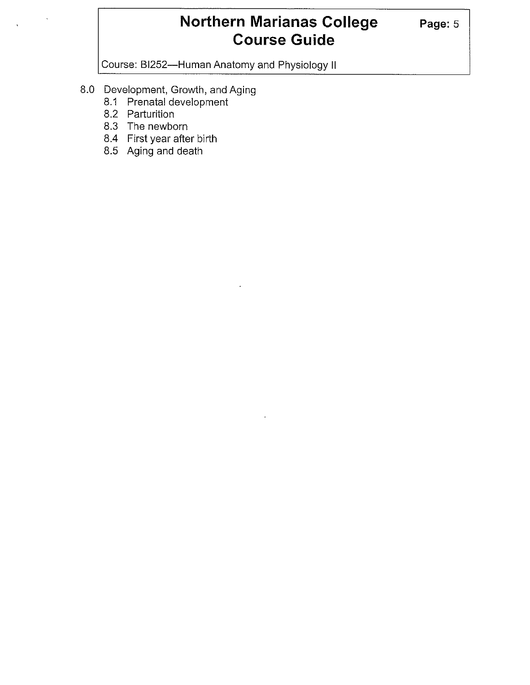# **Northern Marianas College** Page: 5 **Course Guide**

Course: BI252-Human Anatomy and Physiology II

- 8.0 Development, Growth, and Aging
	- 8.1 Prenatal development
	- 8.2 Parturition
	- 8.3 The newborn
	- 8.4 First year after birth
	- 8.5 Aging and death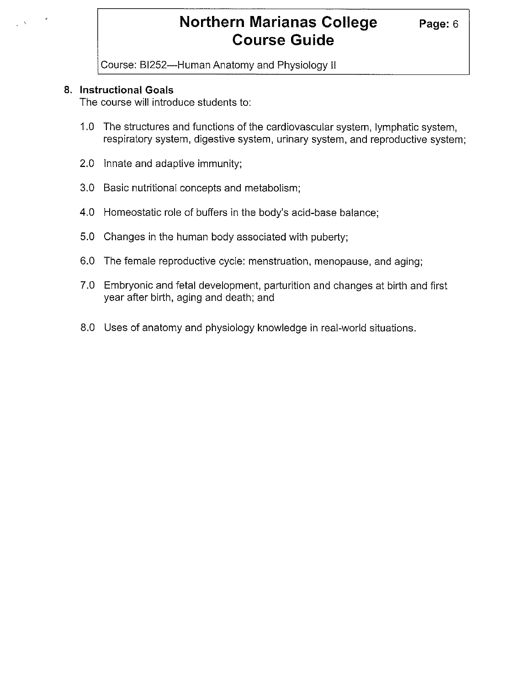# **Northern Marianas College Page: 6 Course Guide**

Course: BI252-Human Anatomy and Physiology II

#### **8. Instructional Goals**

The course will introduce students to:

- 1.0 The structures and functions of the cardiovascular system, lymphatic system, respiratory system, digestive system, urinary system, and reproductive system;
- 2.0 Innate and adaptive immunity;
- 3.0 Basic nutritional concepts and metabolism;
- 4.0 Homeostatic role of buffers in the body's acid-base balance;
- 5.0 Changes in the human body associated with puberty;
- 6.0 The female reproductive cycle: menstruation, menopause, and aging;
- 7.0 Embryonic and fetal development, parturition and changes at birth and first year after birth, aging and death; and
- 8.0 Uses of anatomy and physiology knowledge in real-world situations.